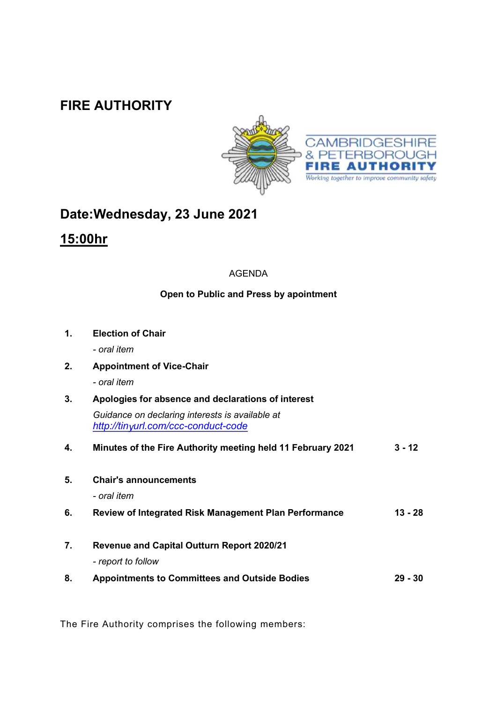### **FIRE AUTHORITY**



# **Date:Wednesday, 23 June 2021**

## **15:00hr**

#### AGENDA

### **Open to Public and Press by apointment**

| 1. | <b>Election of Chair</b>                                                               |           |  |
|----|----------------------------------------------------------------------------------------|-----------|--|
|    | - oral item                                                                            |           |  |
| 2. | <b>Appointment of Vice-Chair</b>                                                       |           |  |
|    | - oral item                                                                            |           |  |
| 3. | Apologies for absence and declarations of interest                                     |           |  |
|    | Guidance on declaring interests is available at<br>http://tinyurl.com/ccc-conduct-code |           |  |
| 4. | Minutes of the Fire Authority meeting held 11 February 2021                            | $3 - 12$  |  |
| 5. | <b>Chair's announcements</b>                                                           |           |  |
|    | - oral item                                                                            |           |  |
| 6. | <b>Review of Integrated Risk Management Plan Performance</b>                           | 13 - 28   |  |
| 7. | <b>Revenue and Capital Outturn Report 2020/21</b>                                      |           |  |
|    | - report to follow                                                                     |           |  |
| 8. | <b>Appointments to Committees and Outside Bodies</b>                                   | $29 - 30$ |  |

The Fire Authority comprises the following members: